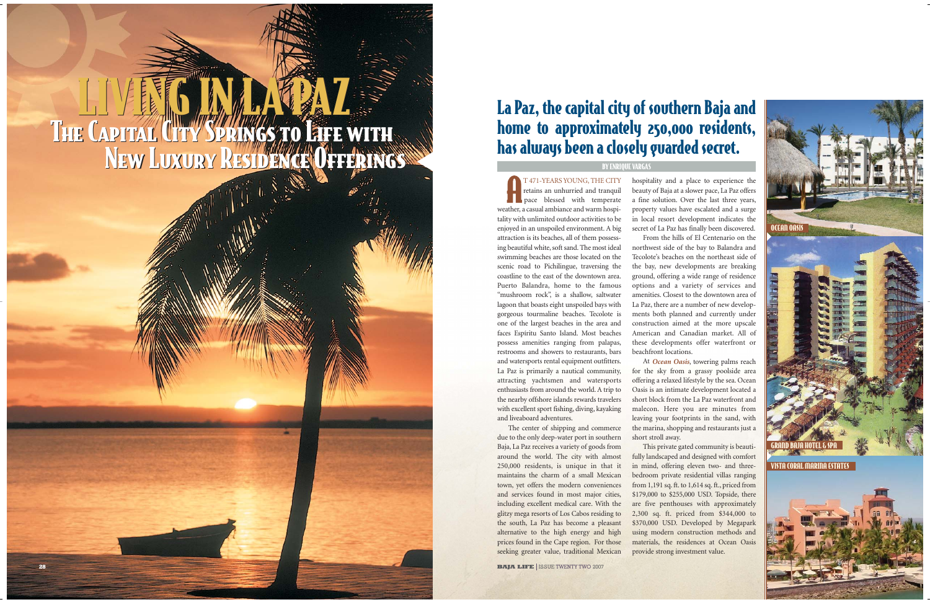T 471-YEARS YOUNG, THE CITY retains an unhurried and tranquil **pace** blessed with temperate weather, a casual ambiance and warm hospitality with unlimited outdoor activities to be enjoyed in an unspoiled environment. A big attraction is its beaches, all of them possessing beautiful white, soft sand. The most ideal swimming beaches are those located on the scenic road to Pichilingue, traversing the coastline to the east of the downtown area. Puerto Balandra, home to the famous "mushroom rock", is a shallow, saltwater lagoon that boasts eight unspoiled bays with gorgeous tourmaline beaches. Tecolote is one of the largest beaches in the area and faces Espíritu Santo Island. Most beaches possess amenities ranging from palapas, restrooms and showers to restaurants, bars and watersports rental equipment outfitters. La Paz is primarily a nautical community, attracting yachtsmen and watersports enthusiasts from around the world. A trip to the nearby offshore islands rewards travelers with excellent sport fishing, diving, kayaking and liveaboard adventures.

The center of shipping and commerce due to the only deep-water port in southern Baja, La Paz receives a variety of goods from around the world. The city with almost 250,000 residents, is unique in that it maintains the charm of a small Mexican town, yet offers the modern conveniences and services found in most major cities, including excellent medical care. With the glitzy mega resorts of Los Cabos residing to the south, La Paz has become a pleasant alternative to the high energy and high prices found in the Cape region. For those seeking greater value, traditional Mexican

**BAJA LIFE ISSUE TWENTY TWO 2007** 

hospitality and a place to experience the beauty of Baja at a slower pace, La Paz offers a fine solution. Over the last three years, property values have escalated and a surge in local resort development indicates the secret of La Paz has finally been discovered. From the hills of El Centenario on the northwest side of the bay to Balandra and Tecolote's beaches on the northeast side of the bay, new developments are breaking ground, offering a wide range of residence options and a variety of services and amenities. Closest to the downtown area of La Paz, there are a number of new developments both planned and currently under construction aimed at the more upscale American and Canadian market. All of these developments offer waterfront or beachfront locations.

At *Ocean Oasis*, towering palms reach for the sky from a grassy poolside area offering a relaxed lifestyle by the sea. Ocean Oasis is an intimate development located a short block from the La Paz waterfront and malecon. Here you are minutes from leaving your footprints in the sand, with the marina, shopping and restaurants just a short stroll away.

This private gated community is beautifully landscaped and designed with comfort in mind, offering eleven two- and threebedroom private residential villas ranging from 1,191 sq. ft. to 1,614 sq. ft., priced from \$179,000 to \$255,000 USD. Topside, there are five penthouses with approximately 2,300 sq. ft. priced from \$344,000 to \$370,000 USD. Developed by Megapark using modern construction methods and materials, the residences at Ocean Oasis provide strong investment value.

# LIVERTS IN LA PAZZ The Capital City Springs to Life with The Capital City Springs to Life with New Luxury Residence Offerings LIVERTS IN LANGELY

## La Paz, the capital city of southern Baja and home to approximately 250,000 residents, has always been a closely guarded secret.



## BY ENRIQUE VARGAS